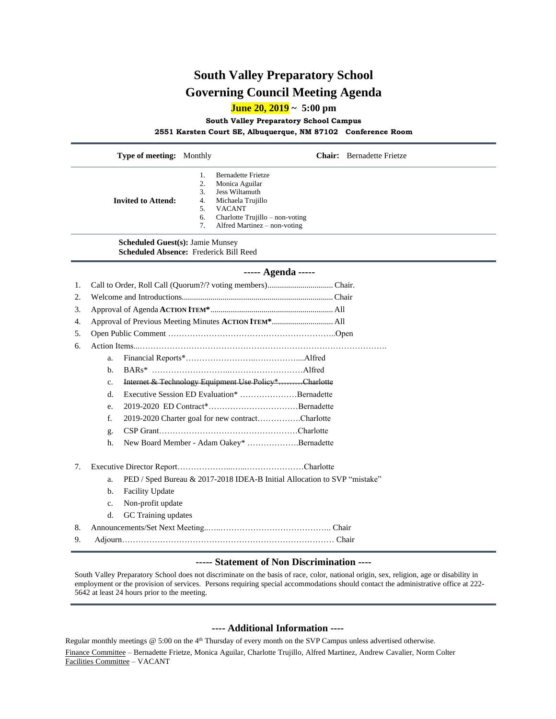## **South Valley Preparatory School Governing Council Meeting Agenda**

**June 20, 2019 ~ 5:00 pm**

**South Valley Preparatory School Campus**

**2551 Karsten Court SE, Albuquerque, NM 87102 Conference Room**

|                                                                                       | Type of meeting: Monthly  |                                                       | <b>Chair:</b> Bernadette Frietze                                                                                                                                              |  |
|---------------------------------------------------------------------------------------|---------------------------|-------------------------------------------------------|-------------------------------------------------------------------------------------------------------------------------------------------------------------------------------|--|
|                                                                                       | <b>Invited to Attend:</b> | 1.<br>2.<br>3.<br>4.<br>5.<br>6.<br>7.                | <b>Bernadette Frietze</b><br>Monica Aguilar<br><b>Jess Wiltamuth</b><br>Michaela Trujillo<br><b>VACANT</b><br>Charlotte Trujillo – non-voting<br>Alfred Martinez – non-voting |  |
| <b>Scheduled Guest(s): Jamie Munsey</b><br>Scheduled Absence: Frederick Bill Reed     |                           |                                                       |                                                                                                                                                                               |  |
| ----- Agenda -----                                                                    |                           |                                                       |                                                                                                                                                                               |  |
| 1.                                                                                    |                           |                                                       |                                                                                                                                                                               |  |
| 2.                                                                                    |                           |                                                       |                                                                                                                                                                               |  |
| 3.<br>4.                                                                              |                           | Approval of Previous Meeting Minutes ACTION ITEM* All |                                                                                                                                                                               |  |
| 5.                                                                                    |                           |                                                       |                                                                                                                                                                               |  |
| 6.                                                                                    |                           |                                                       |                                                                                                                                                                               |  |
|                                                                                       | a.                        |                                                       |                                                                                                                                                                               |  |
|                                                                                       | b.                        |                                                       |                                                                                                                                                                               |  |
|                                                                                       | c.                        | Internet & Technology Equipment Use Policy*Charlotte  |                                                                                                                                                                               |  |
|                                                                                       | d.                        | Executive Session ED Evaluation* Bernadette           |                                                                                                                                                                               |  |
|                                                                                       | e.                        |                                                       |                                                                                                                                                                               |  |
|                                                                                       | f.                        | 2019-2020 Charter goal for new contractCharlotte      |                                                                                                                                                                               |  |
|                                                                                       | g.                        |                                                       |                                                                                                                                                                               |  |
|                                                                                       | h.                        |                                                       | New Board Member - Adam Oakey* Bernadette                                                                                                                                     |  |
| 7.                                                                                    |                           |                                                       |                                                                                                                                                                               |  |
|                                                                                       | a.                        |                                                       | PED / Sped Bureau & 2017-2018 IDEA-B Initial Allocation to SVP "mistake"                                                                                                      |  |
|                                                                                       | Facility Update<br>b.     |                                                       |                                                                                                                                                                               |  |
|                                                                                       | Non-profit update<br>c.   |                                                       |                                                                                                                                                                               |  |
|                                                                                       | d.                        | GC Training updates                                   |                                                                                                                                                                               |  |
| 8.                                                                                    |                           |                                                       |                                                                                                                                                                               |  |
| 9.                                                                                    |                           |                                                       |                                                                                                                                                                               |  |
| $\alpha$ , $\alpha$ , $\alpha$ , $\alpha$ , $\alpha$ , $\alpha$ , $\alpha$ , $\alpha$ |                           |                                                       |                                                                                                                                                                               |  |

## **----- Statement of Non Discrimination ----**

South Valley Preparatory School does not discriminate on the basis of race, color, national origin, sex, religion, age or disability in employment or the provision of services. Persons requiring special accommodations should contact the administrative office at 222- 5642 at least 24 hours prior to the meeting.

## **---- Additional Information ----**

Regular monthly meetings  $@$  5:00 on the  $4<sup>th</sup>$  Thursday of every month on the SVP Campus unless advertised otherwise. Finance Committee – Bernadette Frietze, Monica Aguilar, Charlotte Trujillo, Alfred Martinez, Andrew Cavalier, Norm Colter Facilities Committee – VACANT